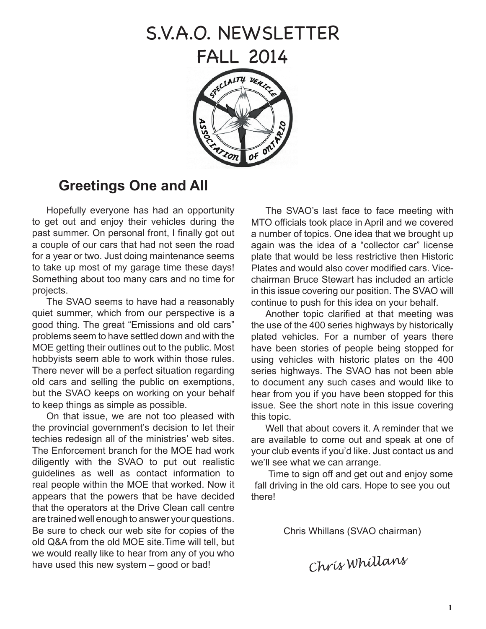# S.V.A.O. NEWSLETTER

FALL 2014



# **Greetings One and All**

Hopefully everyone has had an opportunity to get out and enjoy their vehicles during the past summer. On personal front, I finally got out a couple of our cars that had not seen the road for a year or two. Just doing maintenance seems to take up most of my garage time these days! Something about too many cars and no time for projects.

The SVAO seems to have had a reasonably quiet summer, which from our perspective is a good thing. The great "Emissions and old cars" problems seem to have settled down and with the MOE getting their outlines out to the public. Most hobbyists seem able to work within those rules. There never will be a perfect situation regarding old cars and selling the public on exemptions, but the SVAO keeps on working on your behalf to keep things as simple as possible.

On that issue, we are not too pleased with the provincial government's decision to let their techies redesign all of the ministries' web sites. The Enforcement branch for the MOE had work diligently with the SVAO to put out realistic guidelines as well as contact information to real people within the MOE that worked. Now it appears that the powers that be have decided that the operators at the Drive Clean call centre are trained well enough to answer your questions. Be sure to check our web site for copies of the old Q&A from the old MOE site.Time will tell, but we would really like to hear from any of you who have used this new system – good or bad!<br> **Chris Whillans** 

The SVAO's last face to face meeting with MTO officials took place in April and we covered a number of topics. One idea that we brought up again was the idea of a "collector car" license plate that would be less restrictive then Historic Plates and would also cover modified cars. Vicechairman Bruce Stewart has included an article in this issue covering our position. The SVAO will continue to push for this idea on your behalf.

Another topic clarified at that meeting was the use of the 400 series highways by historically plated vehicles. For a number of years there have been stories of people being stopped for using vehicles with historic plates on the 400 series highways. The SVAO has not been able to document any such cases and would like to hear from you if you have been stopped for this issue. See the short note in this issue covering this topic.

Well that about covers it. A reminder that we are available to come out and speak at one of your club events if you'd like. Just contact us and we'll see what we can arrange.

 Time to sign off and get out and enjoy some fall driving in the old cars. Hope to see you out there!

Chris Whillans (SVAO chairman)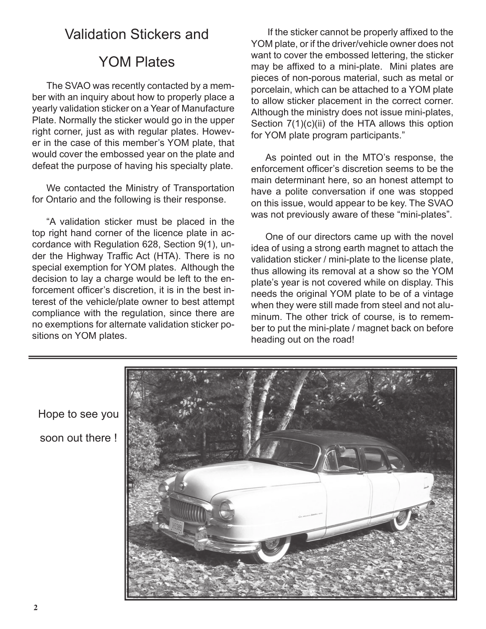# Validation Stickers and

# YOM Plates

The SVAO was recently contacted by a member with an inquiry about how to properly place a yearly validation sticker on a Year of Manufacture Plate. Normally the sticker would go in the upper right corner, just as with regular plates. However in the case of this member's YOM plate, that would cover the embossed year on the plate and defeat the purpose of having his specialty plate.

We contacted the Ministry of Transportation for Ontario and the following is their response.

"A validation sticker must be placed in the top right hand corner of the licence plate in accordance with Regulation 628, Section 9(1), under the Highway Traffic Act (HTA). There is no special exemption for YOM plates. Although the decision to lay a charge would be left to the enforcement officer's discretion, it is in the best interest of the vehicle/plate owner to best attempt compliance with the regulation, since there are no exemptions for alternate validation sticker positions on YOM plates.

 If the sticker cannot be properly affixed to the YOM plate, or if the driver/vehicle owner does not want to cover the embossed lettering, the sticker may be affixed to a mini-plate. Mini plates are pieces of non-porous material, such as metal or porcelain, which can be attached to a YOM plate to allow sticker placement in the correct corner. Although the ministry does not issue mini-plates, Section  $7(1)(c)(ii)$  of the HTA allows this option for YOM plate program participants."

As pointed out in the MTO's response, the enforcement officer's discretion seems to be the main determinant here, so an honest attempt to have a polite conversation if one was stopped on this issue, would appear to be key. The SVAO was not previously aware of these "mini-plates".

One of our directors came up with the novel idea of using a strong earth magnet to attach the validation sticker / mini-plate to the license plate, thus allowing its removal at a show so the YOM plate's year is not covered while on display. This needs the original YOM plate to be of a vintage when they were still made from steel and not aluminum. The other trick of course, is to remember to put the mini-plate / magnet back on before heading out on the road!



Hope to see you soon out there !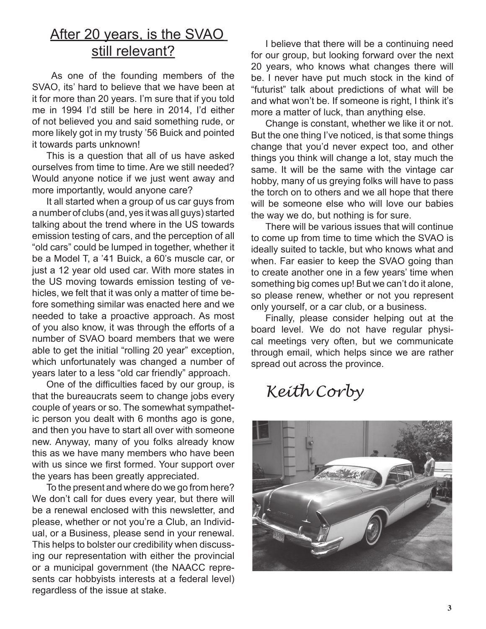# After 20 years, is the SVAO still relevant?

 As one of the founding members of the SVAO, its' hard to believe that we have been at it for more than 20 years. I'm sure that if you told me in 1994 I'd still be here in 2014, I'd either of not believed you and said something rude, or more likely got in my trusty '56 Buick and pointed it towards parts unknown!

This is a question that all of us have asked ourselves from time to time. Are we still needed? Would anyone notice if we just went away and more importantly, would anyone care?

It all started when a group of us car guys from a number of clubs (and, yes it was all guys) started talking about the trend where in the US towards emission testing of cars, and the perception of all "old cars" could be lumped in together, whether it be a Model T, a '41 Buick, a 60's muscle car, or just a 12 year old used car. With more states in the US moving towards emission testing of vehicles, we felt that it was only a matter of time before something similar was enacted here and we needed to take a proactive approach. As most of you also know, it was through the efforts of a number of SVAO board members that we were able to get the initial "rolling 20 year" exception, which unfortunately was changed a number of years later to a less "old car friendly" approach.

One of the difficulties faced by our group, is that the bureaucrats seem to change jobs every couple of years or so. The somewhat sympathetic person you dealt with 6 months ago is gone, and then you have to start all over with someone new. Anyway, many of you folks already know this as we have many members who have been with us since we first formed. Your support over the years has been greatly appreciated.

To the present and where do we go from here? We don't call for dues every year, but there will be a renewal enclosed with this newsletter, and please, whether or not you're a Club, an Individual, or a Business, please send in your renewal. This helps to bolster our credibility when discussing our representation with either the provincial or a municipal government (the NAACC represents car hobbyists interests at a federal level) regardless of the issue at stake.

I believe that there will be a continuing need for our group, but looking forward over the next 20 years, who knows what changes there will be. I never have put much stock in the kind of "futurist" talk about predictions of what will be and what won't be. If someone is right, I think it's more a matter of luck, than anything else.

Change is constant, whether we like it or not. But the one thing I've noticed, is that some things change that you'd never expect too, and other things you think will change a lot, stay much the same. It will be the same with the vintage car hobby, many of us greying folks will have to pass the torch on to others and we all hope that there will be someone else who will love our babies the way we do, but nothing is for sure.

There will be various issues that will continue to come up from time to time which the SVAO is ideally suited to tackle, but who knows what and when. Far easier to keep the SVAO going than to create another one in a few years' time when something big comes up! But we can't do it alone, so please renew, whether or not you represent only yourself, or a car club, or a business.

Finally, please consider helping out at the board level. We do not have regular physical meetings very often, but we communicate through email, which helps since we are rather spread out across the province.

*Keith Corby*

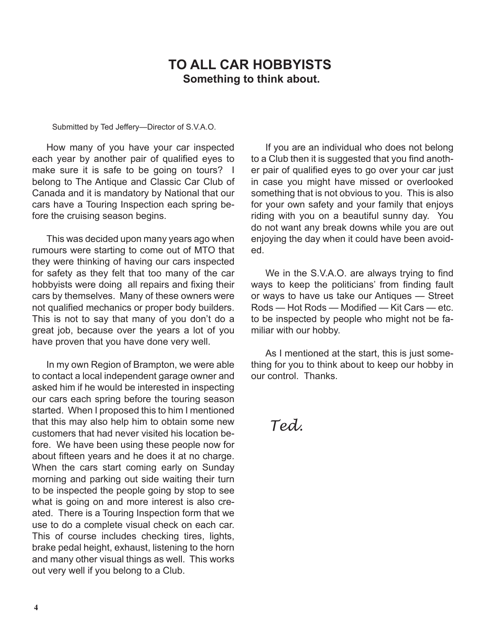# **TO ALL CAR HOBBYISTS Something to think about.**

Submitted by Ted Jeffery—Director of S.V.A.O.

How many of you have your car inspected each year by another pair of qualified eyes to make sure it is safe to be going on tours? I belong to The Antique and Classic Car Club of Canada and it is mandatory by National that our cars have a Touring Inspection each spring before the cruising season begins.

This was decided upon many years ago when rumours were starting to come out of MTO that they were thinking of having our cars inspected for safety as they felt that too many of the car hobbyists were doing all repairs and fixing their cars by themselves. Many of these owners were not qualified mechanics or proper body builders. This is not to say that many of you don't do a great job, because over the years a lot of you have proven that you have done very well.

In my own Region of Brampton, we were able to contact a local independent garage owner and asked him if he would be interested in inspecting our cars each spring before the touring season started. When I proposed this to him I mentioned that this may also help him to obtain some new customers that had never visited his location before. We have been using these people now for about fifteen years and he does it at no charge. When the cars start coming early on Sunday morning and parking out side waiting their turn to be inspected the people going by stop to see what is going on and more interest is also created. There is a Touring Inspection form that we use to do a complete visual check on each car. This of course includes checking tires, lights, brake pedal height, exhaust, listening to the horn and many other visual things as well. This works out very well if you belong to a Club.

If you are an individual who does not belong to a Club then it is suggested that you find another pair of qualified eyes to go over your car just in case you might have missed or overlooked something that is not obvious to you. This is also for your own safety and your family that enjoys riding with you on a beautiful sunny day. You do not want any break downs while you are out enjoying the day when it could have been avoided.

We in the S.V.A.O. are always trying to find ways to keep the politicians' from finding fault or ways to have us take our Antiques — Street Rods — Hot Rods — Modified — Kit Cars — etc. to be inspected by people who might not be familiar with our hobby.

As I mentioned at the start, this is just something for you to think about to keep our hobby in our control. Thanks.

*Ted.*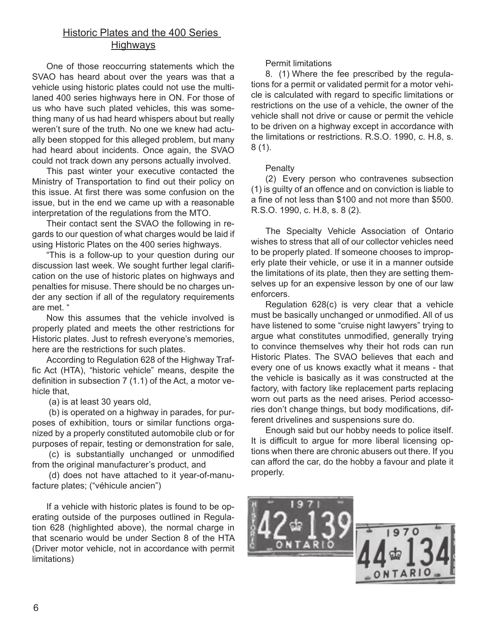# Historic Plates and the 400 Series **Highways**

One of those reoccurring statements which the SVAO has heard about over the years was that a vehicle using historic plates could not use the multilaned 400 series highways here in ON. For those of us who have such plated vehicles, this was something many of us had heard whispers about but really weren't sure of the truth. No one we knew had actually been stopped for this alleged problem, but many had heard about incidents. Once again, the SVAO could not track down any persons actually involved.

This past winter your executive contacted the Ministry of Transportation to find out their policy on this issue. At first there was some confusion on the issue, but in the end we came up with a reasonable interpretation of the regulations from the MTO.

Their contact sent the SVAO the following in regards to our question of what charges would be laid if using Historic Plates on the 400 series highways.

"This is a follow-up to your question during our discussion last week. We sought further legal clarification on the use of historic plates on highways and penalties for misuse. There should be no charges under any section if all of the regulatory requirements are met. "

Now this assumes that the vehicle involved is properly plated and meets the other restrictions for Historic plates. Just to refresh everyone's memories, here are the restrictions for such plates.

According to Regulation 628 of the Highway Traffic Act (HTA), "historic vehicle" means, despite the definition in subsection 7 (1.1) of the Act, a motor vehicle that,

(a) is at least 30 years old,

(b) is operated on a highway in parades, for purposes of exhibition, tours or similar functions organized by a properly constituted automobile club or for purposes of repair, testing or demonstration for sale,

(c) is substantially unchanged or unmodified from the original manufacturer's product, and

(d) does not have attached to it year-of-manufacture plates; ("véhicule ancien")

If a vehicle with historic plates is found to be operating outside of the purposes outlined in Regulation 628 (highlighted above), the normal charge in that scenario would be under Section 8 of the HTA (Driver motor vehicle, not in accordance with permit limitations)

## Permit limitations

8. (1) Where the fee prescribed by the regulations for a permit or validated permit for a motor vehicle is calculated with regard to specific limitations or restrictions on the use of a vehicle, the owner of the vehicle shall not drive or cause or permit the vehicle to be driven on a highway except in accordance with the limitations or restrictions. R.S.O. 1990, c. H.8, s. 8 (1).

## **Penalty**

(2) Every person who contravenes subsection (1) is guilty of an offence and on conviction is liable to a fine of not less than \$100 and not more than \$500. R.S.O. 1990, c. H.8, s. 8 (2).

The Specialty Vehicle Association of Ontario wishes to stress that all of our collector vehicles need to be properly plated. If someone chooses to improperly plate their vehicle, or use it in a manner outside the limitations of its plate, then they are setting themselves up for an expensive lesson by one of our law enforcers.

Regulation 628(c) is very clear that a vehicle must be basically unchanged or unmodified. All of us have listened to some "cruise night lawyers" trying to argue what constitutes unmodified, generally trying to convince themselves why their hot rods can run Historic Plates. The SVAO believes that each and every one of us knows exactly what it means - that the vehicle is basically as it was constructed at the factory, with factory like replacement parts replacing worn out parts as the need arises. Period accessories don't change things, but body modifications, different drivelines and suspensions sure do.

Enough said but our hobby needs to police itself. It is difficult to argue for more liberal licensing options when there are chronic abusers out there. If you can afford the car, do the hobby a favour and plate it properly.

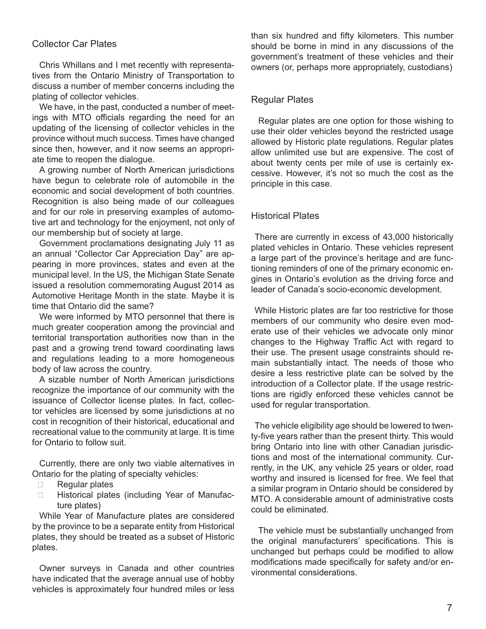## Collector Car Plates

Chris Whillans and I met recently with representatives from the Ontario Ministry of Transportation to discuss a number of member concerns including the plating of collector vehicles.

We have, in the past, conducted a number of meetings with MTO officials regarding the need for an updating of the licensing of collector vehicles in the province without much success. Times have changed since then, however, and it now seems an appropriate time to reopen the dialogue.

A growing number of North American jurisdictions have begun to celebrate role of automobile in the economic and social development of both countries. Recognition is also being made of our colleagues and for our role in preserving examples of automotive art and technology for the enjoyment, not only of our membership but of society at large.

Government proclamations designating July 11 as an annual "Collector Car Appreciation Day" are appearing in more provinces, states and even at the municipal level. In the US, the Michigan State Senate issued a resolution commemorating August 2014 as Automotive Heritage Month in the state. Maybe it is time that Ontario did the same?

We were informed by MTO personnel that there is much greater cooperation among the provincial and territorial transportation authorities now than in the past and a growing trend toward coordinating laws and regulations leading to a more homogeneous body of law across the country.

A sizable number of North American jurisdictions recognize the importance of our community with the issuance of Collector license plates. In fact, collector vehicles are licensed by some jurisdictions at no cost in recognition of their historical, educational and recreational value to the community at large. It is time for Ontario to follow suit.

Currently, there are only two viable alternatives in Ontario for the plating of specialty vehicles:

- $\Box$  Regular plates
- **Example 2** Historical plates (including Year of Manufacture plates)

While Year of Manufacture plates are considered by the province to be a separate entity from Historical plates, they should be treated as a subset of Historic plates.

Owner surveys in Canada and other countries have indicated that the average annual use of hobby vehicles is approximately four hundred miles or less

than six hundred and fifty kilometers. This number should be borne in mind in any discussions of the government's treatment of these vehicles and their owners (or, perhaps more appropriately, custodians)

## Regular Plates

Regular plates are one option for those wishing to use their older vehicles beyond the restricted usage allowed by Historic plate regulations. Regular plates allow unlimited use but are expensive. The cost of about twenty cents per mile of use is certainly excessive. However, it's not so much the cost as the principle in this case.

#### Historical Plates

There are currently in excess of 43,000 historically plated vehicles in Ontario. These vehicles represent a large part of the province's heritage and are functioning reminders of one of the primary economic engines in Ontario's evolution as the driving force and leader of Canada's socio-economic development.

While Historic plates are far too restrictive for those members of our community who desire even moderate use of their vehicles we advocate only minor changes to the Highway Traffic Act with regard to their use. The present usage constraints should remain substantially intact. The needs of those who desire a less restrictive plate can be solved by the introduction of a Collector plate. If the usage restrictions are rigidly enforced these vehicles cannot be used for regular transportation.

The vehicle eligibility age should be lowered to twenty-five years rather than the present thirty. This would bring Ontario into line with other Canadian jurisdictions and most of the international community. Currently, in the UK, any vehicle 25 years or older, road worthy and insured is licensed for free. We feel that a similar program in Ontario should be considered by MTO. A considerable amount of administrative costs could be eliminated.

The vehicle must be substantially unchanged from the original manufacturers' specifications. This is unchanged but perhaps could be modified to allow modifications made specifically for safety and/or environmental considerations.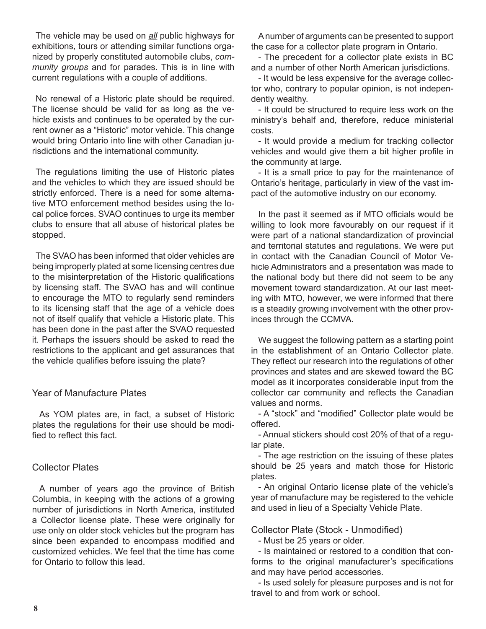The vehicle may be used on *all* public highways for exhibitions, tours or attending similar functions organized by properly constituted automobile clubs, *community groups* and for parades. This is in line with current regulations with a couple of additions.

No renewal of a Historic plate should be required. The license should be valid for as long as the vehicle exists and continues to be operated by the current owner as a "Historic" motor vehicle. This change would bring Ontario into line with other Canadian jurisdictions and the international community.

The regulations limiting the use of Historic plates and the vehicles to which they are issued should be strictly enforced. There is a need for some alternative MTO enforcement method besides using the local police forces. SVAO continues to urge its member clubs to ensure that all abuse of historical plates be stopped.

The SVAO has been informed that older vehicles are being improperly plated at some licensing centres due to the misinterpretation of the Historic qualifications by licensing staff. The SVAO has and will continue to encourage the MTO to regularly send reminders to its licensing staff that the age of a vehicle does not of itself qualify that vehicle a Historic plate. This has been done in the past after the SVAO requested it. Perhaps the issuers should be asked to read the restrictions to the applicant and get assurances that the vehicle qualifies before issuing the plate?

## Year of Manufacture Plates

As YOM plates are, in fact, a subset of Historic plates the regulations for their use should be modified to reflect this fact.

# Collector Plates

A number of years ago the province of British Columbia, in keeping with the actions of a growing number of jurisdictions in North America, instituted a Collector license plate. These were originally for use only on older stock vehicles but the program has since been expanded to encompass modified and customized vehicles. We feel that the time has come for Ontario to follow this lead.

A number of arguments can be presented to support the case for a collector plate program in Ontario.

- The precedent for a collector plate exists in BC and a number of other North American jurisdictions.

- It would be less expensive for the average collector who, contrary to popular opinion, is not independently wealthy.

- It could be structured to require less work on the ministry's behalf and, therefore, reduce ministerial costs.

- It would provide a medium for tracking collector vehicles and would give them a bit higher profile in the community at large.

- It is a small price to pay for the maintenance of Ontario's heritage, particularly in view of the vast impact of the automotive industry on our economy.

In the past it seemed as if MTO officials would be willing to look more favourably on our request if it were part of a national standardization of provincial and territorial statutes and regulations. We were put in contact with the Canadian Council of Motor Vehicle Administrators and a presentation was made to the national body but there did not seem to be any movement toward standardization. At our last meeting with MTO, however, we were informed that there is a steadily growing involvement with the other provinces through the CCMVA.

We suggest the following pattern as a starting point in the establishment of an Ontario Collector plate. They reflect our research into the regulations of other provinces and states and are skewed toward the BC model as it incorporates considerable input from the collector car community and reflects the Canadian values and norms.

- A "stock" and "modified" Collector plate would be offered.

- Annual stickers should cost 20% of that of a regular plate.

- The age restriction on the issuing of these plates should be 25 years and match those for Historic plates.

- An original Ontario license plate of the vehicle's year of manufacture may be registered to the vehicle and used in lieu of a Specialty Vehicle Plate.

# Collector Plate (Stock - Unmodified)

- Must be 25 years or older.

- Is maintained or restored to a condition that conforms to the original manufacturer's specifications and may have period accessories.

- Is used solely for pleasure purposes and is not for travel to and from work or school.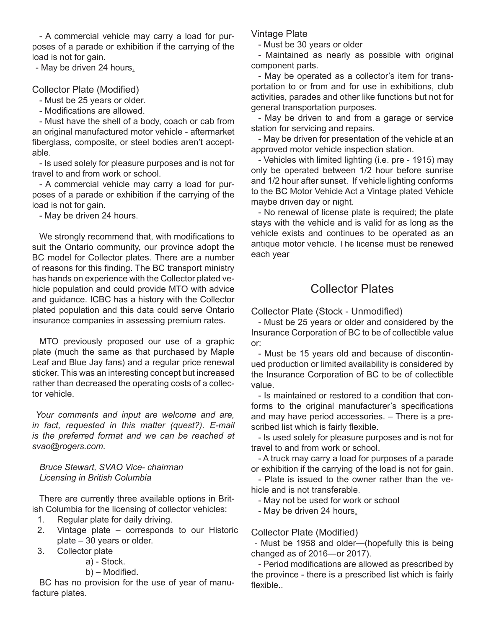- A commercial vehicle may carry a load for purposes of a parade or exhibition if the carrying of the load is not for gain.

- May be driven 24 hours.

Collector Plate (Modified)

- Must be 25 years or older.

- Modifications are allowed.

- Must have the shell of a body, coach or cab from an original manufactured motor vehicle - aftermarket fiberglass, composite, or steel bodies aren't acceptable.

- Is used solely for pleasure purposes and is not for travel to and from work or school.

- A commercial vehicle may carry a load for purposes of a parade or exhibition if the carrying of the load is not for gain.

- May be driven 24 hours.

We strongly recommend that, with modifications to suit the Ontario community, our province adopt the BC model for Collector plates. There are a number of reasons for this finding. The BC transport ministry has hands on experience with the Collector plated vehicle population and could provide MTO with advice and guidance. ICBC has a history with the Collector plated population and this data could serve Ontario insurance companies in assessing premium rates.

MTO previously proposed our use of a graphic plate (much the same as that purchased by Maple Leaf and Blue Jay fans) and a regular price renewal sticker. This was an interesting concept but increased rather than decreased the operating costs of a collector vehicle.

*Your comments and input are welcome and are, in fact, requested in this matter (quest?). E-mail is the preferred format and we can be reached at svao@rogers.com.*

*Bruce Stewart, SVAO Vice- chairman Licensing in British Columbia*

There are currently three available options in British Columbia for the licensing of collector vehicles:

- 1. Regular plate for daily driving.
- 2. Vintage plate corresponds to our Historic plate – 30 years or older.
- 3. Collector plate
	- a) Stock.
	- b) Modified.

BC has no provision for the use of year of manufacture plates.

Vintage Plate

- Must be 30 years or older

- Maintained as nearly as possible with original component parts.

- May be operated as a collector's item for transportation to or from and for use in exhibitions, club activities, parades and other like functions but not for general transportation purposes.

- May be driven to and from a garage or service station for servicing and repairs.

- May be driven for presentation of the vehicle at an approved motor vehicle inspection station.

- Vehicles with limited lighting (i.e. pre - 1915) may only be operated between 1/2 hour before sunrise and 1/2 hour after sunset. If vehicle lighting conforms to the BC Motor Vehicle Act a Vintage plated Vehicle maybe driven day or night.

- No renewal of license plate is required; the plate stays with the vehicle and is valid for as long as the vehicle exists and continues to be operated as an antique motor vehicle. The license must be renewed each year

# Collector Plates

Collector Plate (Stock - Unmodified)

- Must be 25 years or older and considered by the Insurance Corporation of BC to be of collectible value or:

- Must be 15 years old and because of discontinued production or limited availability is considered by the Insurance Corporation of BC to be of collectible value.

- Is maintained or restored to a condition that conforms to the original manufacturer's specifications and may have period accessories. – There is a prescribed list which is fairly flexible.

- Is used solely for pleasure purposes and is not for travel to and from work or school.

- A truck may carry a load for purposes of a parade or exhibition if the carrying of the load is not for gain.

- Plate is issued to the owner rather than the vehicle and is not transferable.

- May not be used for work or school

- May be driven 24 hours.

# Collector Plate (Modified)

- Must be 1958 and older—(hopefully this is being changed as of 2016—or 2017).

- Period modifications are allowed as prescribed by the province - there is a prescribed list which is fairly flexible..